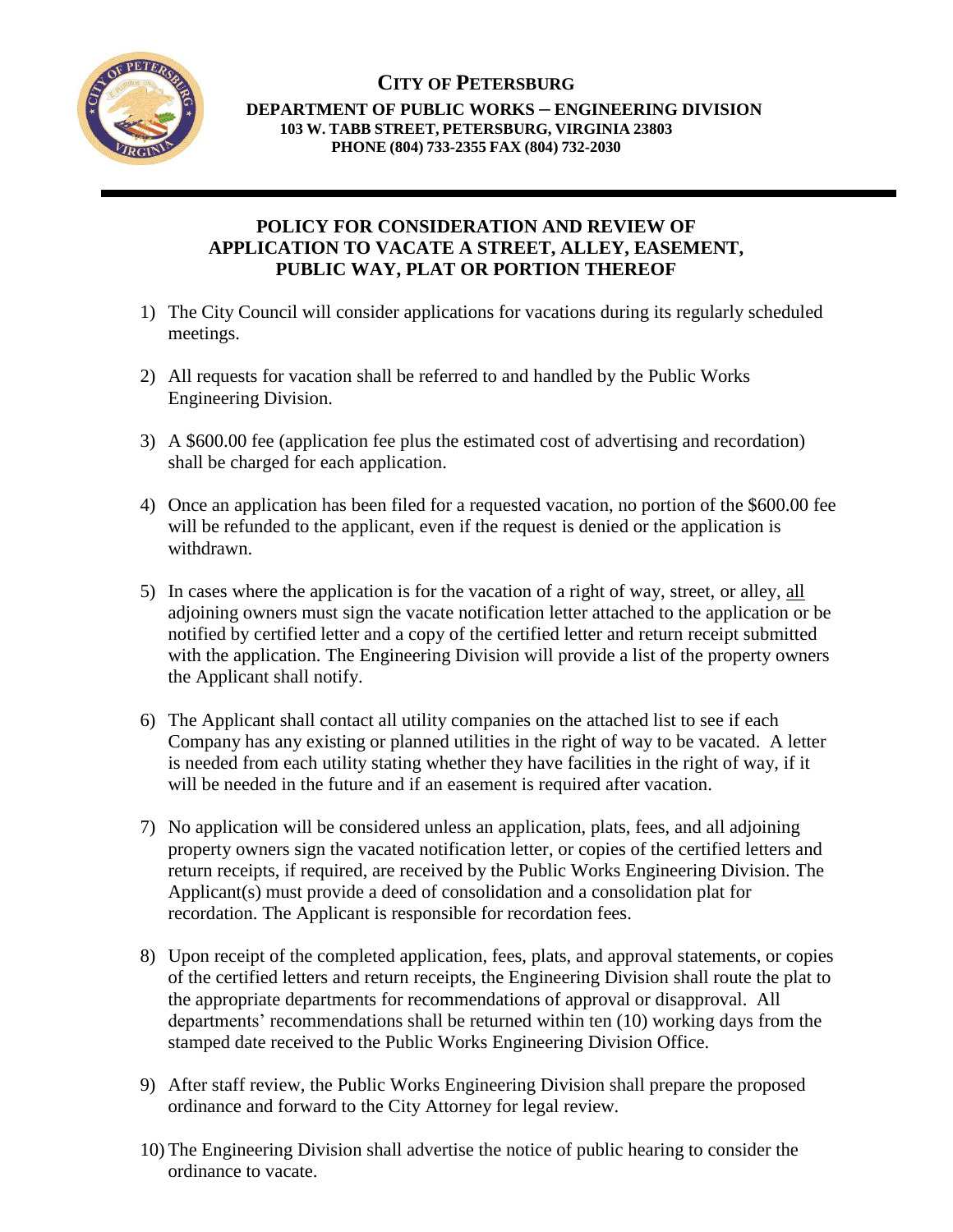

## **CITY OF PETERSBURG DEPARTMENT OF PUBLIC WORKS – ENGINEERING DIVISION 103 W. TABB STREET, PETERSBURG, VIRGINIA 23803 PHONE (804) 733-2355 FAX (804) 732-2030**

# **POLICY FOR CONSIDERATION AND REVIEW OF APPLICATION TO VACATE A STREET, ALLEY, EASEMENT, PUBLIC WAY, PLAT OR PORTION THEREOF**

- 1) The City Council will consider applications for vacations during its regularly scheduled meetings.
- 2) All requests for vacation shall be referred to and handled by the Public Works Engineering Division.
- 3) A \$600.00 fee (application fee plus the estimated cost of advertising and recordation) shall be charged for each application.
- 4) Once an application has been filed for a requested vacation, no portion of the \$600.00 fee will be refunded to the applicant, even if the request is denied or the application is withdrawn.
- 5) In cases where the application is for the vacation of a right of way, street, or alley, all adjoining owners must sign the vacate notification letter attached to the application or be notified by certified letter and a copy of the certified letter and return receipt submitted with the application. The Engineering Division will provide a list of the property owners the Applicant shall notify.
- 6) The Applicant shall contact all utility companies on the attached list to see if each Company has any existing or planned utilities in the right of way to be vacated. A letter is needed from each utility stating whether they have facilities in the right of way, if it will be needed in the future and if an easement is required after vacation.
- 7) No application will be considered unless an application, plats, fees, and all adjoining property owners sign the vacated notification letter, or copies of the certified letters and return receipts, if required, are received by the Public Works Engineering Division. The Applicant(s) must provide a deed of consolidation and a consolidation plat for recordation. The Applicant is responsible for recordation fees.
- 8) Upon receipt of the completed application, fees, plats, and approval statements, or copies of the certified letters and return receipts, the Engineering Division shall route the plat to the appropriate departments for recommendations of approval or disapproval. All departments' recommendations shall be returned within ten (10) working days from the stamped date received to the Public Works Engineering Division Office.
- 9) After staff review, the Public Works Engineering Division shall prepare the proposed ordinance and forward to the City Attorney for legal review.
- 10) The Engineering Division shall advertise the notice of public hearing to consider the ordinance to vacate.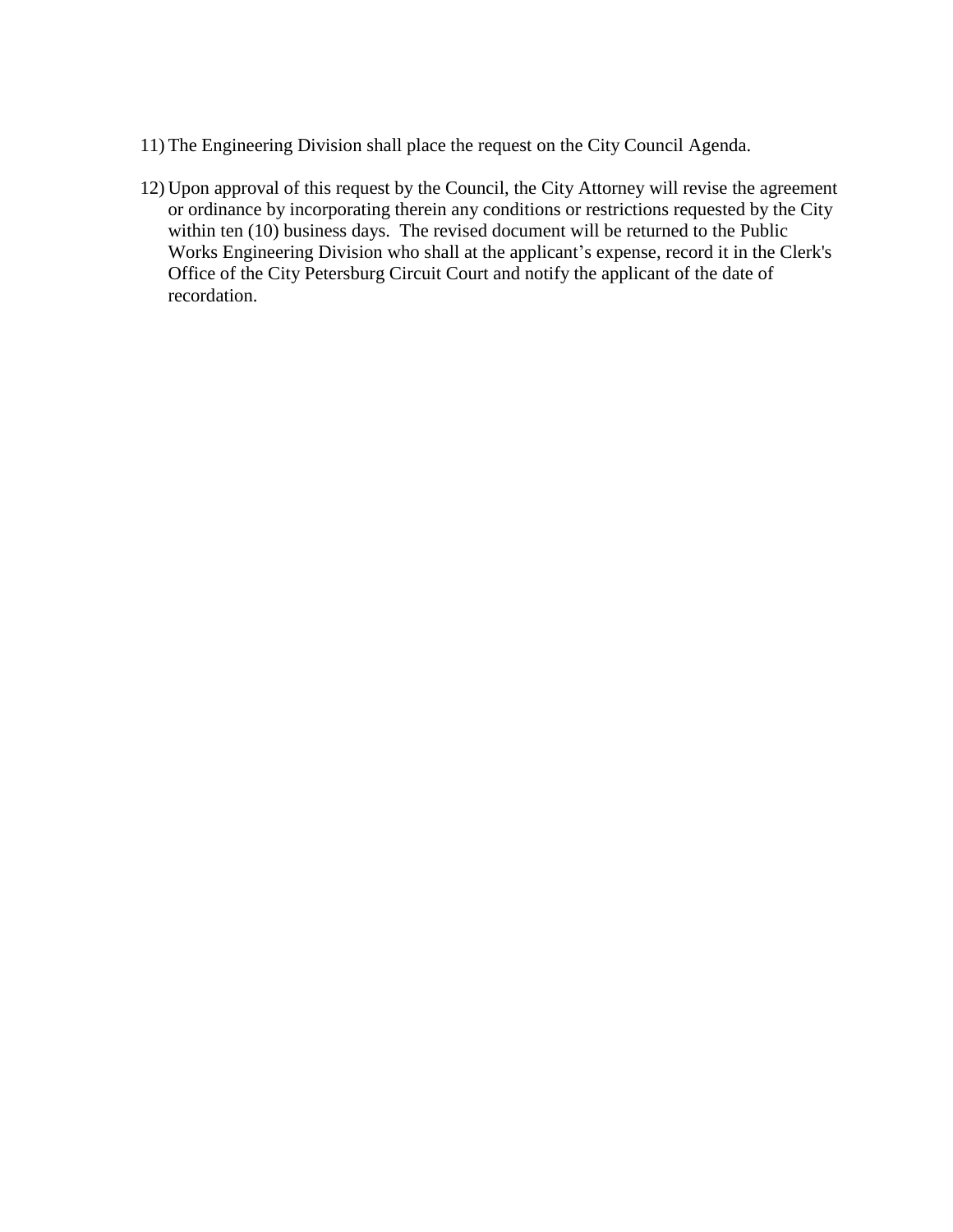- 11) The Engineering Division shall place the request on the City Council Agenda.
- 12) Upon approval of this request by the Council, the City Attorney will revise the agreement or ordinance by incorporating therein any conditions or restrictions requested by the City within ten (10) business days. The revised document will be returned to the Public Works Engineering Division who shall at the applicant's expense, record it in the Clerk's Office of the City Petersburg Circuit Court and notify the applicant of the date of recordation.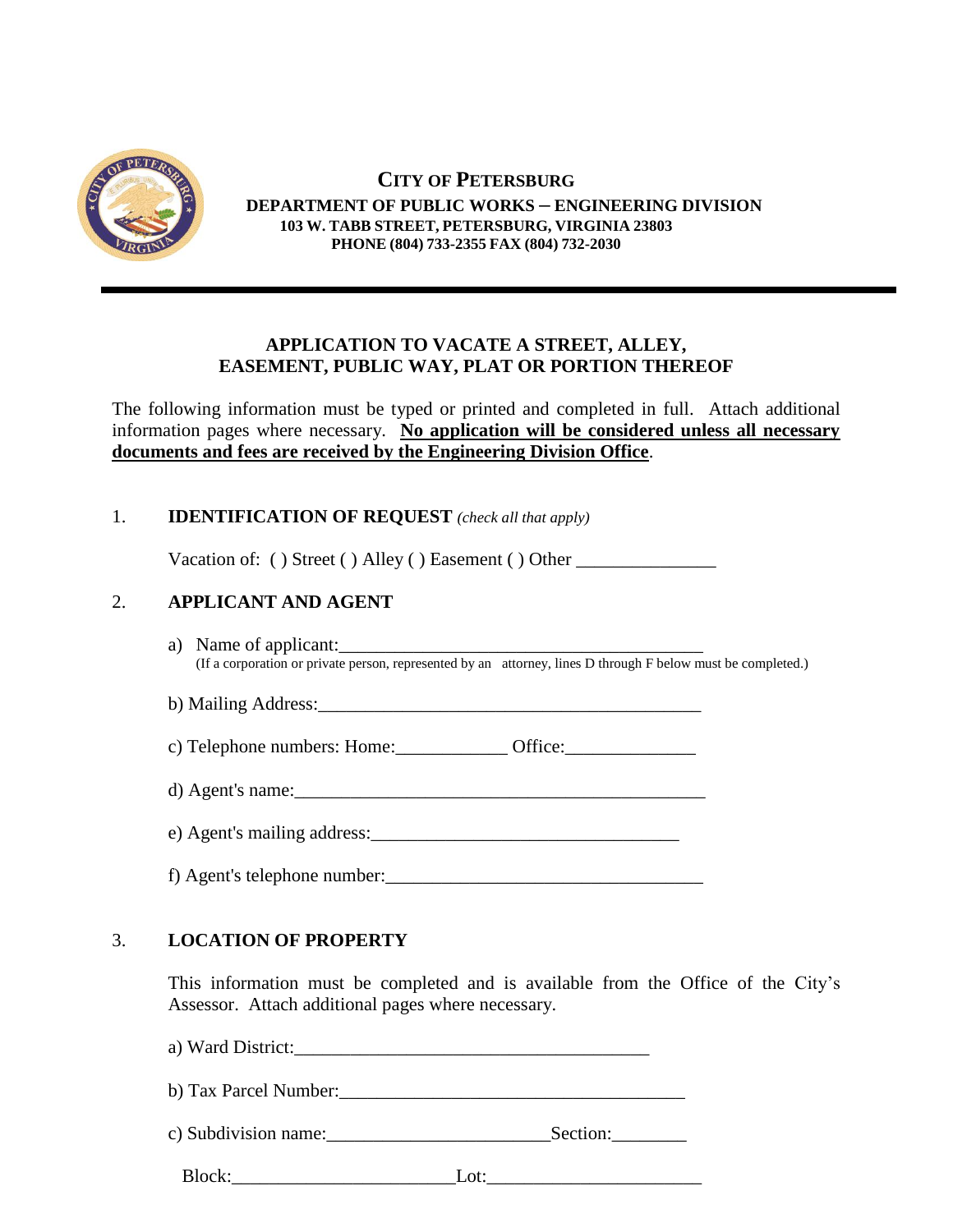

#### **CITY OF PETERSBURG DEPARTMENT OF PUBLIC WORKS – ENGINEERING DIVISION 103 W. TABB STREET, PETERSBURG, VIRGINIA 23803 PHONE (804) 733-2355 FAX (804) 732-2030**

#### **APPLICATION TO VACATE A STREET, ALLEY, EASEMENT, PUBLIC WAY, PLAT OR PORTION THEREOF**

The following information must be typed or printed and completed in full. Attach additional information pages where necessary. **No application will be considered unless all necessary documents and fees are received by the Engineering Division Office**.

# 1. **IDENTIFICATION OF REQUEST** *(check all that apply)*

Vacation of: () Street () Alley () Easement () Other \_\_\_\_\_\_\_\_\_\_\_\_\_\_\_\_\_\_\_\_\_\_\_\_\_\_\_

# 2. **APPLICANT AND AGENT**

a) Name of applicant: (If a corporation or private person, represented by an attorney, lines D through F below must be completed.)

b) Mailing Address:\_\_\_\_\_\_\_\_\_\_\_\_\_\_\_\_\_\_\_\_\_\_\_\_\_\_\_\_\_\_\_\_\_\_\_\_\_\_\_\_\_

c) Telephone numbers: Home:\_\_\_\_\_\_\_\_\_\_\_\_ Office:\_\_\_\_\_\_\_\_\_\_\_\_\_\_

 $d)$  Agent's name:

e) Agent's mailing address:

f) Agent's telephone number:\_\_\_\_\_\_\_\_\_\_\_\_\_\_\_\_\_\_\_\_\_\_\_\_\_\_\_\_\_\_\_\_\_\_

# 3. **LOCATION OF PROPERTY**

This information must be completed and is available from the Office of the City's Assessor. Attach additional pages where necessary.

a) Ward District:\_\_\_\_\_\_\_\_\_\_\_\_\_\_\_\_\_\_\_\_\_\_\_\_\_\_\_\_\_\_\_\_\_\_\_\_\_\_ b) Tax Parcel Number: c) Subdivision name:\_\_\_\_\_\_\_\_\_\_\_\_\_\_\_\_\_\_\_\_\_\_\_\_Section:\_\_\_\_\_\_\_\_ Block: Lot: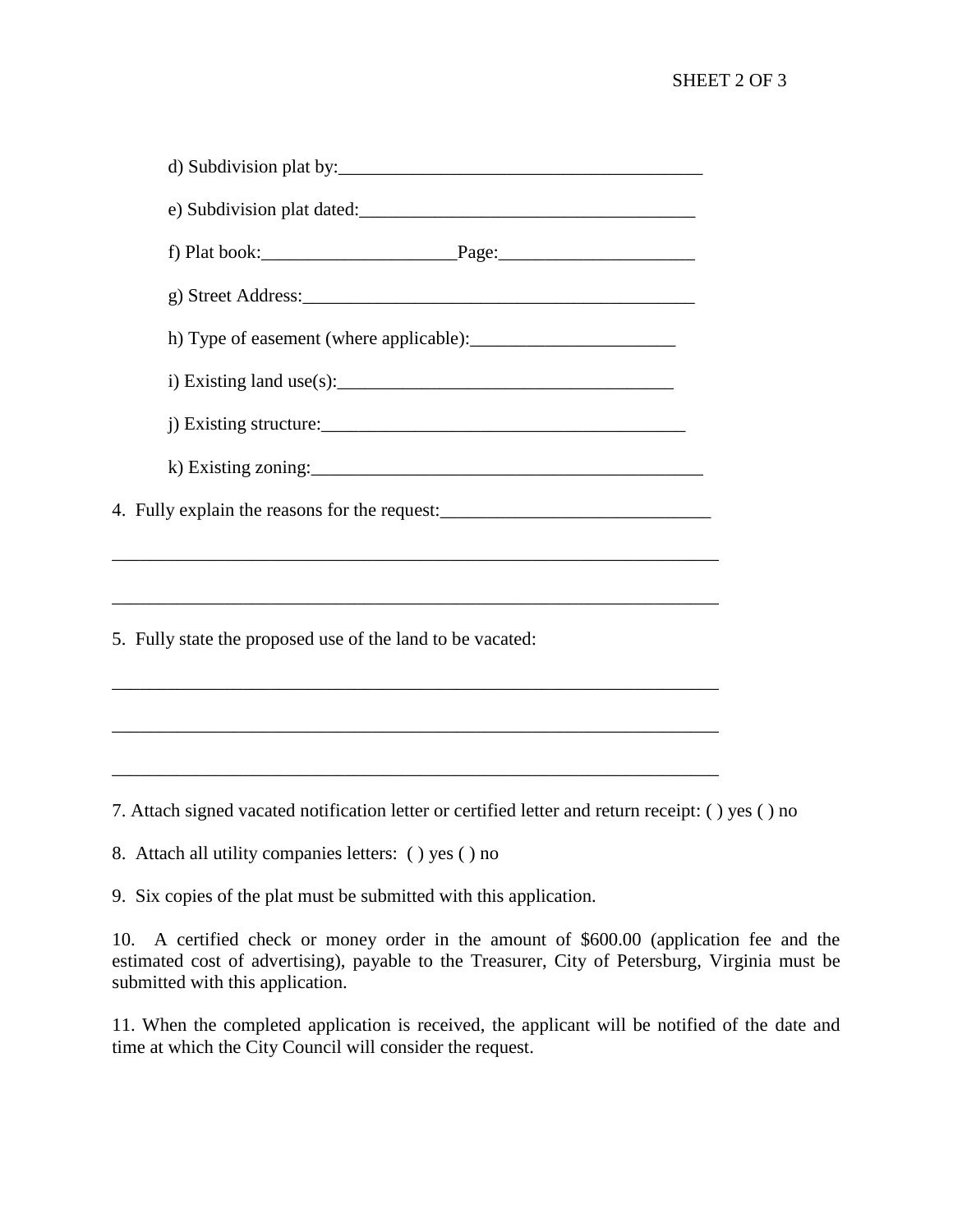## SHEET 2 OF 3

| i) Existing land use(s): $\frac{1}{2}$                                            |
|-----------------------------------------------------------------------------------|
| j) Existing structure: $\frac{1}{2}$                                              |
|                                                                                   |
| 4. Fully explain the reasons for the request:                                     |
|                                                                                   |
| ,我们也不能在这里的时候,我们也不能在这里的时候,我们也不能会在这里的时候,我们也不能会在这里的时候,我们也不能会在这里的时候,我们也不能会在这里的时候,我们也不 |
| 5. Fully state the proposed use of the land to be vacated:                        |
|                                                                                   |
|                                                                                   |
|                                                                                   |

7. Attach signed vacated notification letter or certified letter and return receipt: ( ) yes ( ) no

8. Attach all utility companies letters: ( ) yes ( ) no

9. Six copies of the plat must be submitted with this application.

10. A certified check or money order in the amount of \$600.00 (application fee and the estimated cost of advertising), payable to the Treasurer, City of Petersburg, Virginia must be submitted with this application.

11. When the completed application is received, the applicant will be notified of the date and time at which the City Council will consider the request.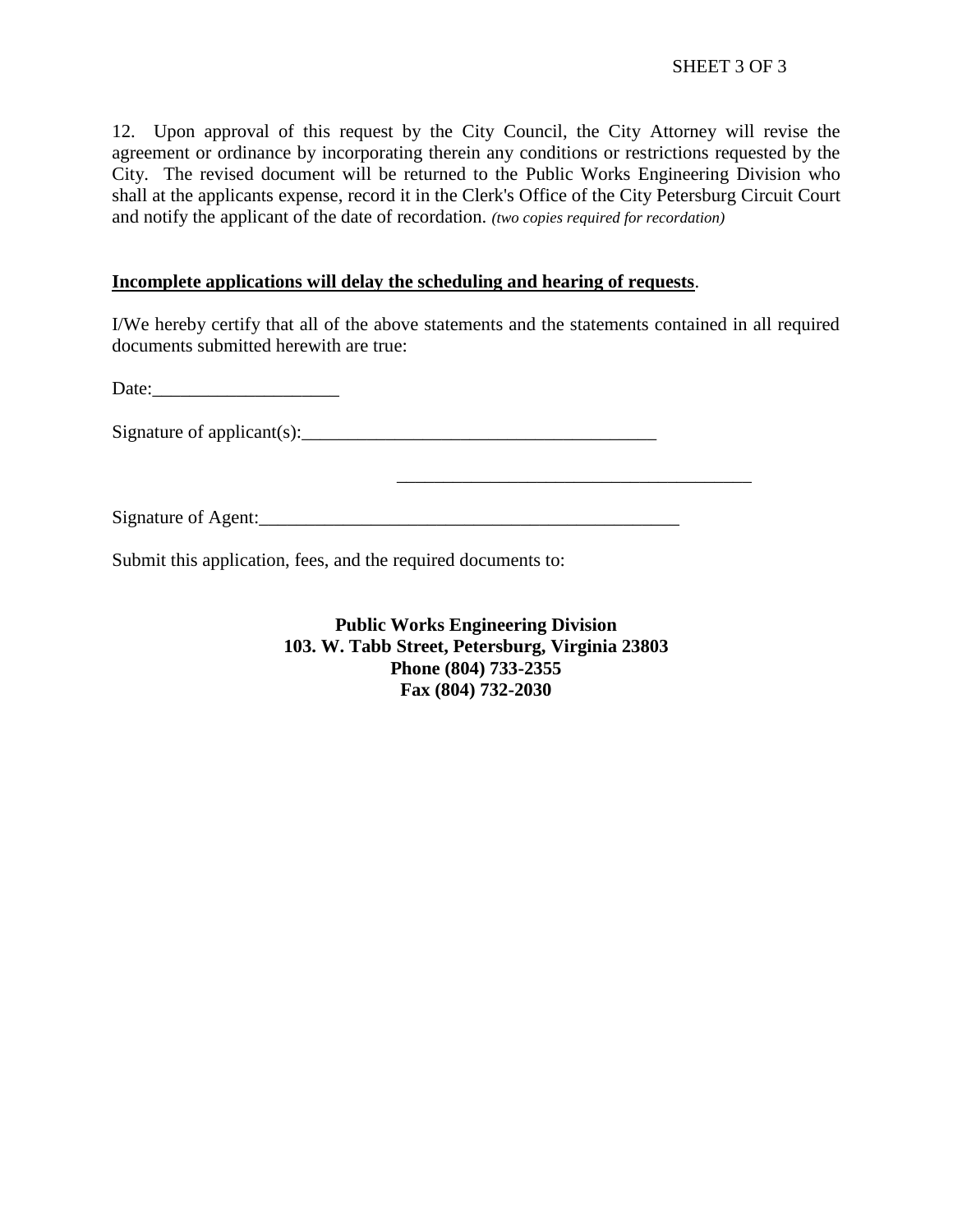12. Upon approval of this request by the City Council, the City Attorney will revise the agreement or ordinance by incorporating therein any conditions or restrictions requested by the City. The revised document will be returned to the Public Works Engineering Division who shall at the applicants expense, record it in the Clerk's Office of the City Petersburg Circuit Court and notify the applicant of the date of recordation. *(two copies required for recordation)*

#### **Incomplete applications will delay the scheduling and hearing of requests**.

I/We hereby certify that all of the above statements and the statements contained in all required documents submitted herewith are true:

\_\_\_\_\_\_\_\_\_\_\_\_\_\_\_\_\_\_\_\_\_\_\_\_\_\_\_\_\_\_\_\_\_\_\_\_\_\_

Date:

Signature of applicant(s):  $\Box$ 

Signature of Agent:\_\_\_\_\_\_\_\_\_\_\_\_\_\_\_\_\_\_\_\_\_\_\_\_\_\_\_\_\_\_\_\_\_\_\_\_\_\_\_\_\_\_\_\_\_

Submit this application, fees, and the required documents to:

**Public Works Engineering Division 103. W. Tabb Street, Petersburg, Virginia 23803 Phone (804) 733-2355 Fax (804) 732-2030**